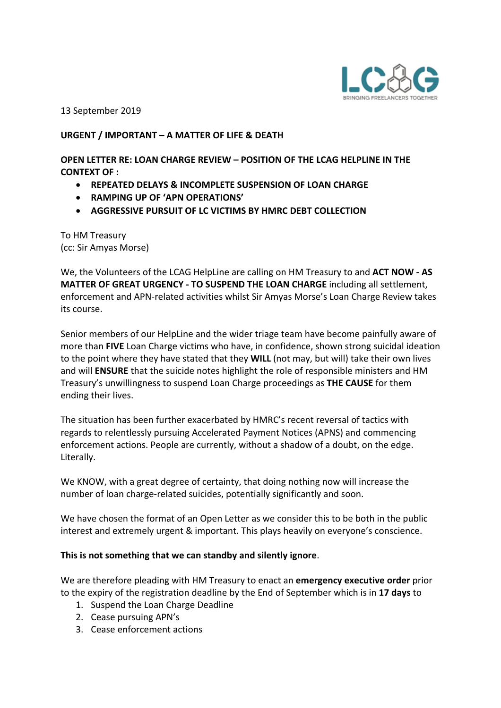

13 September 2019

## **URGENT / IMPORTANT – A MATTER OF LIFE & DEATH**

**OPEN LETTER RE: LOAN CHARGE REVIEW – POSITION OF THE LCAG HELPLINE IN THE CONTEXT OF :**

- **REPEATED DELAYS & INCOMPLETE SUSPENSION OF LOAN CHARGE**
- **RAMPING UP OF 'APN OPERATIONS'**
- **AGGRESSIVE PURSUIT OF LC VICTIMS BY HMRC DEBT COLLECTION**

To HM Treasury (cc: Sir Amyas Morse)

We, the Volunteers of the LCAG HelpLine are calling on HM Treasury to and **ACT NOW - AS MATTER OF GREAT URGENCY - TO SUSPEND THE LOAN CHARGE** including all settlement, enforcement and APN-related activities whilst Sir Amyas Morse's Loan Charge Review takes its course.

Senior members of our HelpLine and the wider triage team have become painfully aware of more than **FIVE** Loan Charge victims who have, in confidence, shown strong suicidal ideation to the point where they have stated that they **WILL** (not may, but will) take their own lives and will **ENSURE** that the suicide notes highlight the role of responsible ministers and HM Treasury's unwillingness to suspend Loan Charge proceedings as **THE CAUSE** for them ending their lives.

The situation has been further exacerbated by HMRC's recent reversal of tactics with regards to relentlessly pursuing Accelerated Payment Notices (APNS) and commencing enforcement actions. People are currently, without a shadow of a doubt, on the edge. Literally.

We KNOW, with a great degree of certainty, that doing nothing now will increase the number of loan charge-related suicides, potentially significantly and soon.

We have chosen the format of an Open Letter as we consider this to be both in the public interest and extremely urgent & important. This plays heavily on everyone's conscience.

## **This is not something that we can standby and silently ignore**.

We are therefore pleading with HM Treasury to enact an **emergency executive order** prior to the expiry of the registration deadline by the End of September which is in **17 days** to

- 1. Suspend the Loan Charge Deadline
- 2. Cease pursuing APN's
- 3. Cease enforcement actions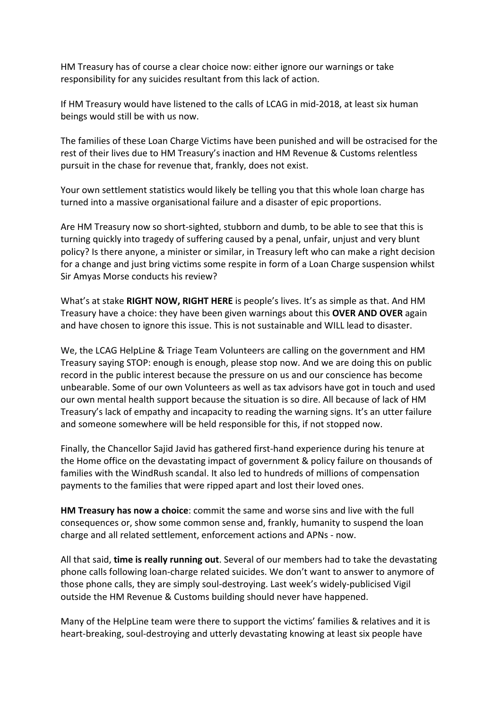HM Treasury has of course a clear choice now: either ignore our warnings or take responsibility for any suicides resultant from this lack of action.

If HM Treasury would have listened to the calls of LCAG in mid-2018, at least six human beings would still be with us now.

The families of these Loan Charge Victims have been punished and will be ostracised for the rest of their lives due to HM Treasury's inaction and HM Revenue & Customs relentless pursuit in the chase for revenue that, frankly, does not exist.

Your own settlement statistics would likely be telling you that this whole loan charge has turned into a massive organisational failure and a disaster of epic proportions.

Are HM Treasury now so short-sighted, stubborn and dumb, to be able to see that this is turning quickly into tragedy of suffering caused by a penal, unfair, unjust and very blunt policy? Is there anyone, a minister or similar, in Treasury left who can make a right decision for a change and just bring victims some respite in form of a Loan Charge suspension whilst Sir Amyas Morse conducts his review?

What's at stake **RIGHT NOW, RIGHT HERE** is people's lives. It's as simple as that. And HM Treasury have a choice: they have been given warnings about this **OVER AND OVER** again and have chosen to ignore this issue. This is not sustainable and WILL lead to disaster.

We, the LCAG HelpLine & Triage Team Volunteers are calling on the government and HM Treasury saying STOP: enough is enough, please stop now. And we are doing this on public record in the public interest because the pressure on us and our conscience has become unbearable. Some of our own Volunteers as well as tax advisors have got in touch and used our own mental health support because the situation is so dire. All because of lack of HM Treasury's lack of empathy and incapacity to reading the warning signs. It's an utter failure and someone somewhere will be held responsible for this, if not stopped now.

Finally, the Chancellor Sajid Javid has gathered first-hand experience during his tenure at the Home office on the devastating impact of government & policy failure on thousands of families with the WindRush scandal. It also led to hundreds of millions of compensation payments to the families that were ripped apart and lost their loved ones.

**HM Treasury has now a choice**: commit the same and worse sins and live with the full consequences or, show some common sense and, frankly, humanity to suspend the loan charge and all related settlement, enforcement actions and APNs - now.

All that said, **time is really running out**. Several of our members had to take the devastating phone calls following loan-charge related suicides. We don't want to answer to anymore of those phone calls, they are simply soul-destroying. Last week's widely-publicised Vigil outside the HM Revenue & Customs building should never have happened.

Many of the HelpLine team were there to support the victims' families & relatives and it is heart-breaking, soul-destroying and utterly devastating knowing at least six people have